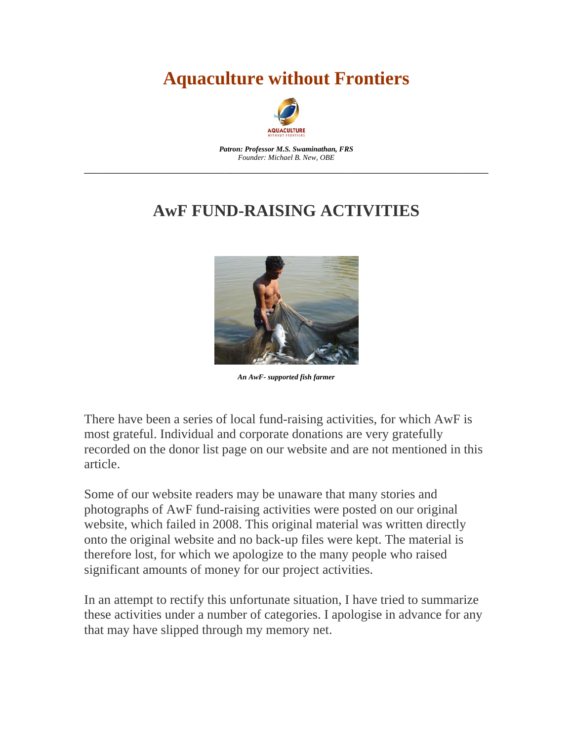## **Aquaculture without Frontiers**



*Patron: Professor M.S. Swaminathan, FRS Founder: Michael B. New, OBE*  \_\_\_\_\_\_\_\_\_\_\_\_\_\_\_\_\_\_\_\_\_\_\_\_\_\_\_\_\_\_\_\_\_\_\_\_\_\_\_\_\_\_\_\_\_\_\_\_\_\_\_\_\_\_\_\_\_\_\_\_\_\_\_\_\_\_\_\_\_\_\_\_

#### **AwF FUND-RAISING ACTIVITIES**



*An AwF- supported fish farmer*

There have been a series of local fund-raising activities, for which AwF is most grateful. Individual and corporate donations are very gratefully recorded on the donor list page on our website and are not mentioned in this article.

Some of our website readers may be unaware that many stories and photographs of AwF fund-raising activities were posted on our original website, which failed in 2008. This original material was written directly onto the original website and no back-up files were kept. The material is therefore lost, for which we apologize to the many people who raised significant amounts of money for our project activities.

In an attempt to rectify this unfortunate situation, I have tried to summarize these activities under a number of categories. I apologise in advance for any that may have slipped through my memory net.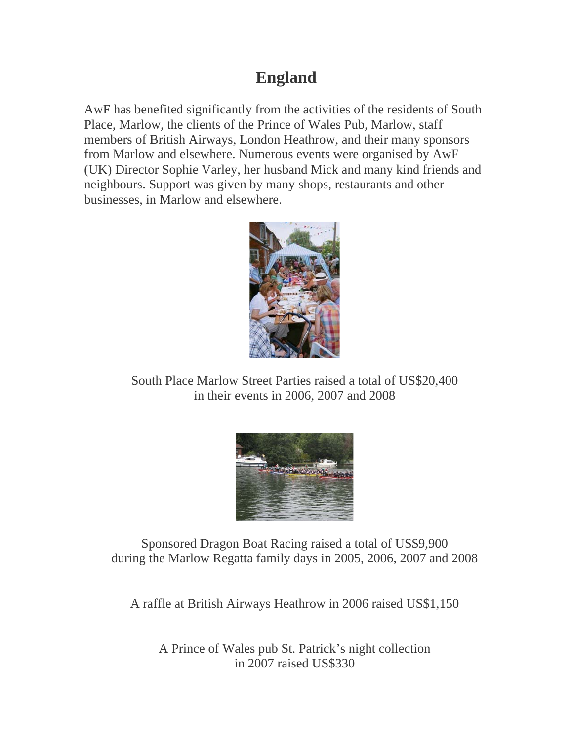#### **England**

AwF has benefited significantly from the activities of the residents of South Place, Marlow, the clients of the Prince of Wales Pub, Marlow, staff members of British Airways, London Heathrow, and their many sponsors from Marlow and elsewhere. Numerous events were organised by AwF (UK) Director Sophie Varley, her husband Mick and many kind friends and neighbours. Support was given by many shops, restaurants and other businesses, in Marlow and elsewhere.



South Place Marlow Street Parties raised a total of US\$20,400 in their events in 2006, 2007 and 2008



Sponsored Dragon Boat Racing raised a total of US\$9,900 during the Marlow Regatta family days in 2005, 2006, 2007 and 2008

A raffle at British Airways Heathrow in 2006 raised US\$1,150

A Prince of Wales pub St. Patrick's night collection in 2007 raised US\$330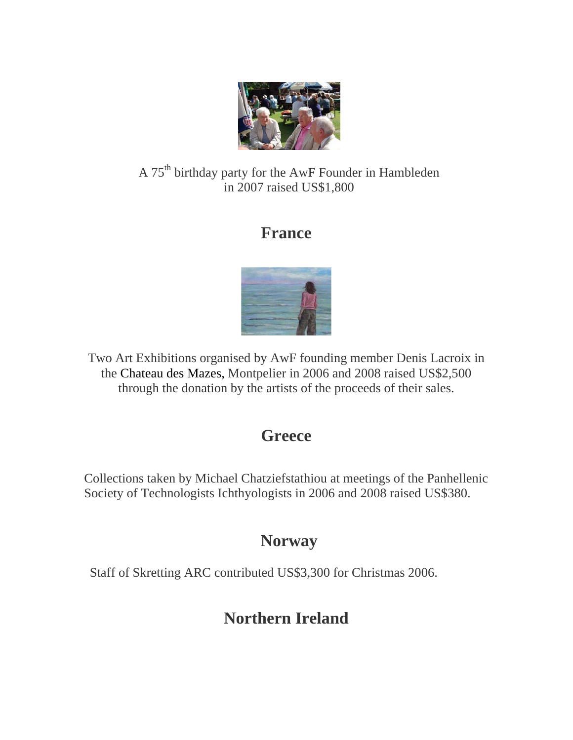

#### A 75th birthday party for the AwF Founder in Hambleden in 2007 raised US\$1,800

#### **France**



Two Art Exhibitions organised by AwF founding member Denis Lacroix in the Chateau des Mazes, Montpelier in 2006 and 2008 raised US\$2,500 through the donation by the artists of the proceeds of their sales.

#### **Greece**

Collections taken by Michael Chatziefstathiou at meetings of the Panhellenic Society of Technologists Ichthyologists in 2006 and 2008 raised US\$380.

### **Norway**

Staff of Skretting ARC contributed US\$3,300 for Christmas 2006.

### **Northern Ireland**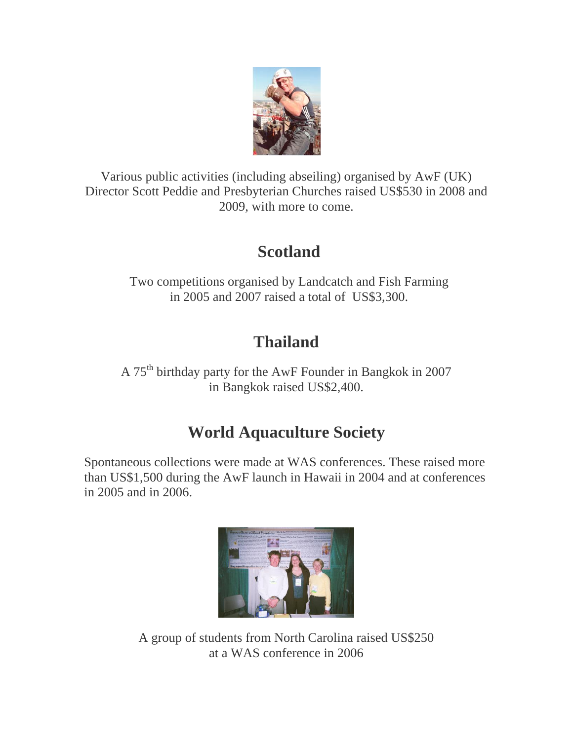

Various public activities (including abseiling) organised by AwF (UK) Director Scott Peddie and Presbyterian Churches raised US\$530 in 2008 and 2009, with more to come.

# **Scotland**

Two competitions organised by Landcatch and Fish Farming in 2005 and 2007 raised a total of US\$3,300.

# **Thailand**

A 75th birthday party for the AwF Founder in Bangkok in 2007 in Bangkok raised US\$2,400.

### **World Aquaculture Society**

Spontaneous collections were made at WAS conferences. These raised more than US\$1,500 during the AwF launch in Hawaii in 2004 and at conferences in 2005 and in 2006.



A group of students from North Carolina raised US\$250 at a WAS conference in 2006